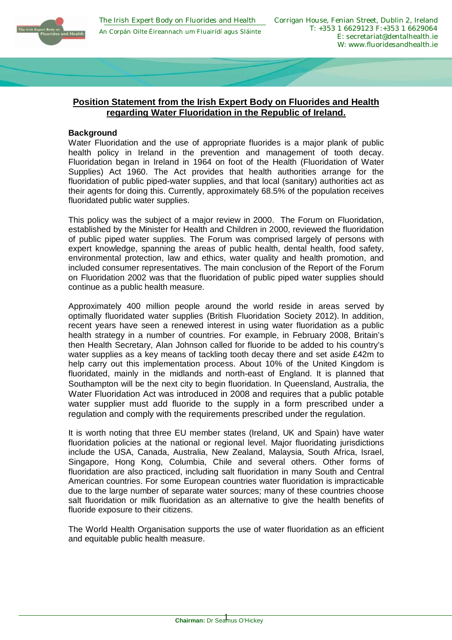

# **Position Statement from the Irish Expert Body on Fluorides and Health regarding Water Fluoridation in the Republic of Ireland.**

### **Background**

Water Fluoridation and the use of appropriate fluorides is a major plank of public health policy in Ireland in the prevention and management of tooth decay. Fluoridation began in Ireland in 1964 on foot of the Health (Fluoridation of Water Supplies) Act 1960. The Act provides that health authorities arrange for the fluoridation of public piped-water supplies, and that local (sanitary) authorities act as their agents for doing this. Currently, approximately 68.5% of the population receives fluoridated public water supplies.

This policy was the subject of a major review in 2000. The Forum on Fluoridation, established by the Minister for Health and Children in 2000, reviewed the fluoridation of public piped water supplies. The Forum was comprised largely of persons with expert knowledge, spanning the areas of public health, dental health, food safety, environmental protection, law and ethics, water quality and health promotion, and included consumer representatives. The main conclusion of the Report of the Forum on Fluoridation 2002 was that the fluoridation of public piped water supplies should continue as a public health measure.

Approximately 400 million people around the world reside in areas served by optimally fluoridated water supplies (British Fluoridation Society 2012). In addition, recent years have seen a renewed interest in using water fluoridation as a public health strategy in a number of countries. For example, in February 2008, Britain's then Health Secretary, Alan Johnson called for fluoride to be added to his country's water supplies as a key means of tackling tooth decay there and set aside £42m to help carry out this implementation process. About 10% of the United Kingdom is fluoridated, mainly in the midlands and north-east of England. It is planned that Southampton will be the next city to begin fluoridation. In Queensland, Australia, the Water Fluoridation Act was introduced in 2008 and requires that a public potable water supplier must add fluoride to the supply in a form prescribed under a regulation and comply with the requirements prescribed under the regulation.

It is worth noting that three EU member states (Ireland, UK and Spain) have water fluoridation policies at the national or regional level. Major fluoridating jurisdictions include the USA, Canada, Australia, New Zealand, Malaysia, South Africa, Israel, Singapore, Hong Kong, Columbia, Chile and several others. Other forms of fluoridation are also practiced, including salt fluoridation in many South and Central American countries. For some European countries water fluoridation is impracticable due to the large number of separate water sources; many of these countries choose salt fluoridation or milk fluoridation as an alternative to give the health benefits of fluoride exposure to their citizens.

The World Health Organisation supports the use of water fluoridation as an efficient and equitable public health measure.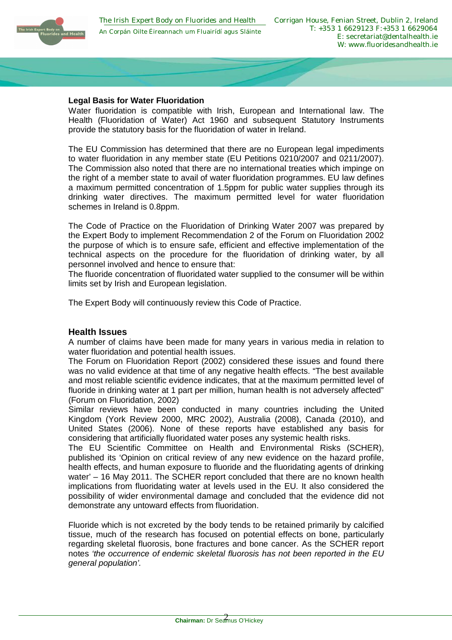

### **Legal Basis for Water Fluoridation**

Water fluoridation is compatible with Irish, European and International law. The Health (Fluoridation of Water) Act 1960 and subsequent Statutory Instruments provide the statutory basis for the fluoridation of water in Ireland.

The EU Commission has determined that there are no European legal impediments to water fluoridation in any member state (EU Petitions 0210/2007 and 0211/2007). The Commission also noted that there are no international treaties which impinge on the right of a member state to avail of water fluoridation programmes. EU law defines a maximum permitted concentration of 1.5ppm for public water supplies through its drinking water directives. The maximum permitted level for water fluoridation schemes in Ireland is 0.8ppm.

The Code of Practice on the Fluoridation of Drinking Water 2007 was prepared by the Expert Body to implement Recommendation 2 of the Forum on Fluoridation 2002 the purpose of which is to ensure safe, efficient and effective implementation of the technical aspects on the procedure for the fluoridation of drinking water, by all personnel involved and hence to ensure that:

The fluoride concentration of fluoridated water supplied to the consumer will be within limits set by Irish and European legislation.

The Expert Body will continuously review this Code of Practice.

### **Health Issues**

A number of claims have been made for many years in various media in relation to water fluoridation and potential health issues.

The Forum on Fluoridation Report (2002) considered these issues and found there was no valid evidence at that time of any negative health effects. "The best available and most reliable scientific evidence indicates, that at the maximum permitted level of fluoride in drinking water at 1 part per million, human health is not adversely affected" (Forum on Fluoridation, 2002)

Similar reviews have been conducted in many countries including the United Kingdom (York Review 2000, MRC 2002), Australia (2008), Canada (2010), and United States (2006). None of these reports have established any basis for considering that artificially fluoridated water poses any systemic health risks.

The EU Scientific Committee on Health and Environmental Risks (SCHER), published its 'Opinion on critical review of any new evidence on the hazard profile, health effects, and human exposure to fluoride and the fluoridating agents of drinking water' – 16 May 2011. The SCHER report concluded that there are no known health implications from fluoridating water at levels used in the EU. It also considered the possibility of wider environmental damage and concluded that the evidence did not demonstrate any untoward effects from fluoridation.

Fluoride which is not excreted by the body tends to be retained primarily by calcified tissue, much of the research has focused on potential effects on bone, particularly regarding skeletal fluorosis, bone fractures and bone cancer. As the SCHER report notes *'the occurrence of endemic skeletal fluorosis has not been reported in the EU general population'.*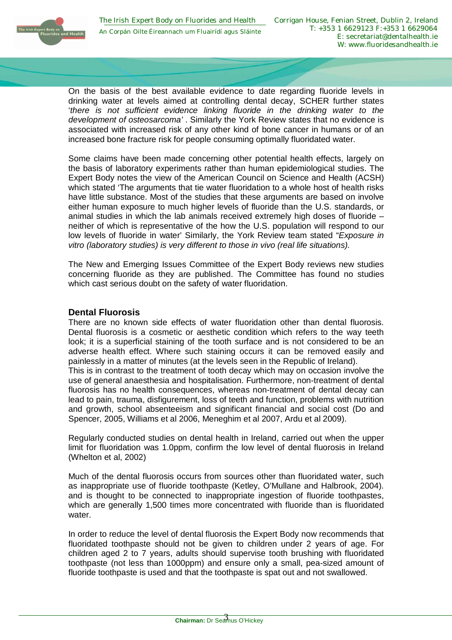On the basis of the best available evidence to date regarding fluoride levels in drinking water at levels aimed at controlling dental decay, SCHER further states '*there is not sufficient evidence linking fluoride in the drinking water to the development of osteosarcoma'* . Similarly the York Review states that no evidence is associated with increased risk of any other kind of bone cancer in humans or of an increased bone fracture risk for people consuming optimally fluoridated water.

Some claims have been made concerning other potential health effects, largely on the basis of laboratory experiments rather than human epidemiological studies. The Expert Body notes the view of the American Council on Science and Health (ACSH) which stated 'The arguments that tie water fluoridation to a whole host of health risks have little substance. Most of the studies that these arguments are based on involve either human exposure to much higher levels of fluoride than the U.S. standards, or animal studies in which the lab animals received extremely high doses of fluoride – neither of which is representative of the how the U.S. population will respond to our low levels of fluoride in water' Similarly, the York Review team stated "*Exposure in vitro (laboratory studies) is very different to those in vivo (real life situations).*

The New and Emerging Issues Committee of the Expert Body reviews new studies concerning fluoride as they are published. The Committee has found no studies which cast serious doubt on the safety of water fluoridation.

# **Dental Fluorosis**

There are no known side effects of water fluoridation other than dental fluorosis. Dental fluorosis is a cosmetic or aesthetic condition which refers to the way teeth look; it is a superficial staining of the tooth surface and is not considered to be an adverse health effect. Where such staining occurs it can be removed easily and painlessly in a matter of minutes (at the levels seen in the Republic of Ireland).

This is in contrast to the treatment of tooth decay which may on occasion involve the use of general anaesthesia and hospitalisation. Furthermore, non-treatment of dental fluorosis has no health consequences, whereas non-treatment of dental decay can lead to pain, trauma, disfigurement, loss of teeth and function, problems with nutrition and growth, school absenteeism and significant financial and social cost (Do and Spencer, 2005, Williams et al 2006, Meneghim et al 2007, Ardu et al 2009).

Regularly conducted studies on dental health in Ireland, carried out when the upper limit for fluoridation was 1.0ppm, confirm the low level of dental fluorosis in Ireland (Whelton et al, 2002)

Much of the dental fluorosis occurs from sources other than fluoridated water, such as inappropriate use of fluoride toothpaste (Ketley, O'Mullane and Halbrook, 2004). and is thought to be connected to inappropriate ingestion of fluoride toothpastes, which are generally 1,500 times more concentrated with fluoride than is fluoridated water.

In order to reduce the level of dental fluorosis the Expert Body now recommends that fluoridated toothpaste should not be given to children under 2 years of age. For children aged 2 to 7 years, adults should supervise tooth brushing with fluoridated toothpaste (not less than 1000ppm) and ensure only a small, pea-sized amount of fluoride toothpaste is used and that the toothpaste is spat out and not swallowed.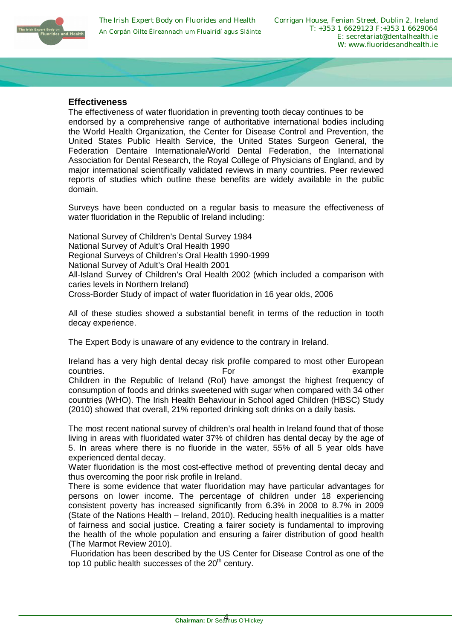

# **Effectiveness**

The effectiveness of water fluoridation in preventing tooth decay continues to be endorsed by a comprehensive range of authoritative international bodies including the World Health Organization, the Center for Disease Control and Prevention, the United States Public Health Service, the United States Surgeon General, the Federation Dentaire Internationale/World Dental Federation, the International Association for Dental Research, the Royal College of Physicians of England, and by major international scientifically validated reviews in many countries. Peer reviewed reports of studies which outline these benefits are widely available in the public domain.

Surveys have been conducted on a regular basis to measure the effectiveness of water fluoridation in the Republic of Ireland including:

National Survey of Children's Dental Survey 1984 National Survey of Adult's Oral Health 1990 Regional Surveys of Children's Oral Health 1990-1999 National Survey of Adult's Oral Health 2001 All-Island Survey of Children's Oral Health 2002 (which included a comparison with caries levels in Northern Ireland) Cross-Border Study of impact of water fluoridation in 16 year olds, 2006

All of these studies showed a substantial benefit in terms of the reduction in tooth decay experience.

The Expert Body is unaware of any evidence to the contrary in Ireland.

Ireland has a very high dental decay risk profile compared to most other European countries. The example of the example of the example of the example of the example Children in the Republic of Ireland (RoI) have amongst the highest frequency of consumption of foods and drinks sweetened with sugar when compared with 34 other countries (WHO). The Irish Health Behaviour in School aged Children (HBSC) Study (2010) showed that overall, 21% reported drinking soft drinks on a daily basis.

The most recent national survey of children's oral health in Ireland found that of those living in areas with fluoridated water 37% of children has dental decay by the age of 5. In areas where there is no fluoride in the water, 55% of all 5 year olds have experienced dental decay.

Water fluoridation is the most cost-effective method of preventing dental decay and thus overcoming the poor risk profile in Ireland.

There is some evidence that water fluoridation may have particular advantages for persons on lower income. The percentage of children under 18 experiencing consistent poverty has increased significantly from 6.3% in 2008 to 8.7% in 2009 (State of the Nations Health – Ireland, 2010). Reducing health inequalities is a matter of fairness and social justice. Creating a fairer society is fundamental to improving the health of the whole population and ensuring a fairer distribution of good health (The Marmot Review 2010).

 Fluoridation has been described by the US Center for Disease Control as one of the top 10 public health successes of the  $20<sup>th</sup>$  century.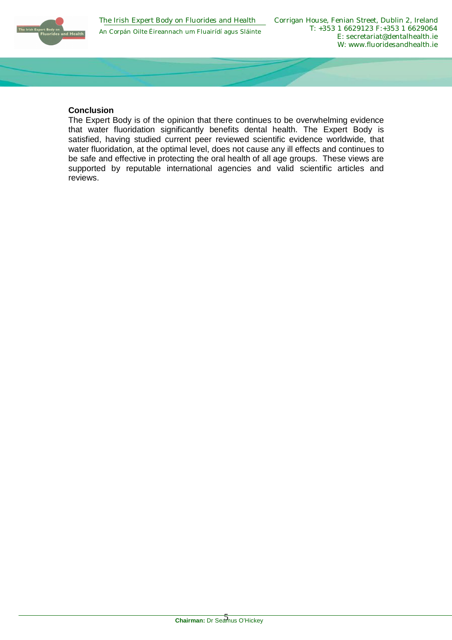

## **Conclusion**

The Expert Body is of the opinion that there continues to be overwhelming evidence that water fluoridation significantly benefits dental health. The Expert Body is satisfied, having studied current peer reviewed scientific evidence worldwide, that water fluoridation, at the optimal level, does not cause any ill effects and continues to be safe and effective in protecting the oral health of all age groups. These views are supported by reputable international agencies and valid scientific articles and reviews.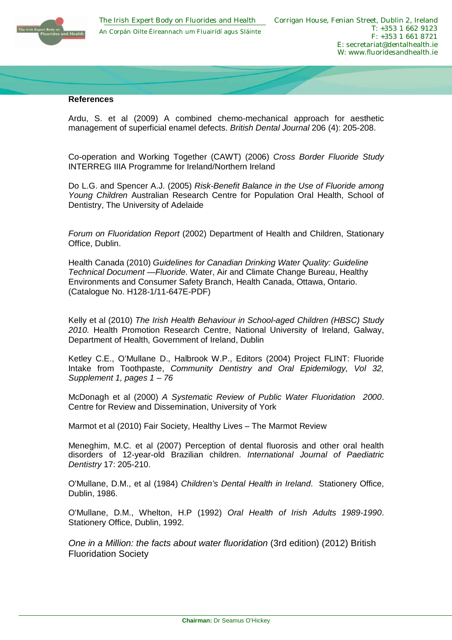

### **References**

Ardu, S. et al (2009) A combined chemo-mechanical approach for aesthetic management of superficial enamel defects. *British Dental Journal* 206 (4): 205-208.

Co-operation and Working Together (CAWT) (2006) *Cross Border Fluoride Study* INTERREG IIIA Programme for Ireland/Northern Ireland

Do L.G. and Spencer A.J. (2005) *Risk-Benefit Balance in the Use of Fluoride among Young Children* Australian Research Centre for Population Oral Health, School of Dentistry, The University of Adelaide

*Forum on Fluoridation Report* (2002) Department of Health and Children, Stationary Office, Dublin.

Health Canada (2010) *Guidelines for Canadian Drinking Water Quality: Guideline Technical Document —Fluoride.* Water, Air and Climate Change Bureau, Healthy Environments and Consumer Safety Branch, Health Canada, Ottawa, Ontario. (Catalogue No. H128-1/11-647E-PDF)

Kelly et al (2010) *The Irish Health Behaviour in School-aged Children (HBSC) Study 2010.* Health Promotion Research Centre, National University of Ireland, Galway, Department of Health, Government of Ireland, Dublin

Ketley C.E., O'Mullane D., Halbrook W.P., Editors (2004) Project FLINT: Fluoride Intake from Toothpaste, *Community Dentistry and Oral Epidemilogy, Vol 32, Supplement 1, pages 1 – 76* 

McDonagh et al (2000) *A Systematic Review of Public Water Fluoridation 2000*. Centre for Review and Dissemination, University of York

Marmot et al (2010) Fair Society, Healthy Lives – The Marmot Review

Meneghim, M.C. et al (2007) Perception of dental fluorosis and other oral health disorders of 12-year-old Brazilian children. *International Journal of Paediatric Dentistry* 17: 205-210.

O'Mullane, D.M., et al (1984) *Children's Dental Health in Ireland*. Stationery Office, Dublin, 1986.

O'Mullane, D.M., Whelton, H.P (1992) *Oral Health of Irish Adults 1989-1990*. Stationery Office, Dublin, 1992.

*One in a Million: the facts about water fluoridation* (3rd edition) (2012) British Fluoridation Society